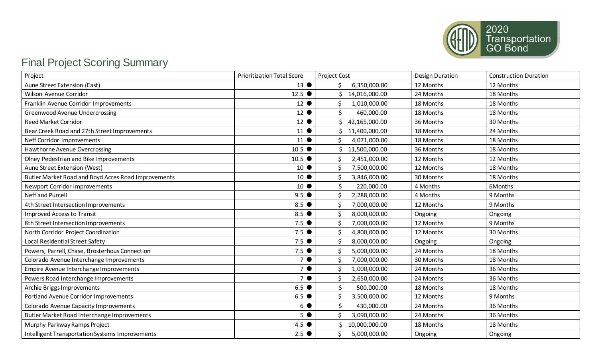

## Final Project Scoring Summary

| Project                                             | <b>Prioritization Total Score</b> | <b>Project Cost</b> | <b>Design Duration</b> | <b>Construction Duration</b> |
|-----------------------------------------------------|-----------------------------------|---------------------|------------------------|------------------------------|
| Aune Street Extension (East)                        | $13$ $\bullet$                    | 6,350,000.00        | 12 Months              | 12 Months                    |
| Wilson Avenue Corridor                              | $12.5$ $\bullet$                  | 14,016,000.00       | 24 Months              | 18 Months                    |
| Franklin Avenue Corridor Improvements               | 12 <sup>°</sup>                   | 1,010,000.00        | 18 Months              | 18 Months                    |
| <b>Greenwood Avenue Undercrossing</b>               | $12$ $\bullet$                    | Ś.<br>460,000.00    | 18 Months              | 18 Months                    |
| <b>Reed Market Corridor</b>                         | 12 <sup>°</sup>                   | 42,165,000.00       | 36 Months              | 30 Months                    |
| Bear Creek Road and 27th Street Improvements        | $11$ $\bullet$                    | 11,400,000.00       | 18 Months              | 24 Months                    |
| Neff Corridor Improvements                          | $11$ $\bullet$                    | 4,071,000.00        | 18 Months              | 18 Months                    |
| Hawthorne Avenue Overcrossing                       | $10.5$ $\bullet$                  | 11,500,000.00       | 36 Months              | 18 Months                    |
| Olney Pedestrian and Bike Improvements              | $10.5$ $\bullet$                  | Ś.<br>2,451,000.00  | 12 Months              | 12 Months                    |
| Aune Street Extension (West)                        | $10$ $\bullet$                    | Ś.<br>7,500,000.00  | 12 Months              | 18 Months                    |
| Butler Market Road and Boyd Acres Road Improvements | $10$ $\bullet$                    | 3,846,000.00        | 30 Months              | 18 Months                    |
| Newport Corridor Improvements                       | 10 <sup>°</sup>                   | Ś<br>220,000.00     | 4 Months               | 6Months                      |
| Neff and Purcell                                    | $9.5$ $\bullet$                   | 2,288,000.00<br>Ś.  | 4 Months               | 9 Months                     |
| 4th Street Intersection Improvements                | 8.5                               | Ś.<br>7,000,000.00  | 12 Months              | 9 Months                     |
| <b>Improved Access to Transit</b>                   | 8.5 $\bullet$                     | 8,000,000.00<br>Ś   | Ongoing                | Ongoing                      |
| 8th Street Intersection Improvements                | $7.5$ $\bullet$                   | Ś.<br>7,000,000.00  | 12 Months              | 9 Months                     |
| North Corridor Project Coordination                 | $7.5$ $\bullet$                   | .S<br>4,800,000.00  | 12 Months              | 30 Months                    |
| Local Residential Street Safety                     | $7.5$ $\bullet$                   | 8,000,000.00        | Ongoing                | Ongoing                      |
| Powers, Parrell, Chase, Brosterhous Connection      | 7.5                               | 5,000,000.00        | 24 Months              | 18 Months                    |
| Colorado Avenue Interchange Improvements            | $7$ $\bullet$                     | \$<br>7,000,000.00  | 30 Months              | 18 Months                    |
| Empire Avenue Interchange Improvements              | $7$ $\bullet$                     | Ś.<br>1,000,000.00  | 24 Months              | 36 Months                    |
| Powers Road Interchange Improvements                | 7 <sup>o</sup>                    | 2,650,000.00        | 24 Months              | 36 Months                    |
| Archie Briggs Improvements                          | 6.5                               | Ś<br>500,000.00     | 18 Months              | 18 Months                    |
| Portland Avenue Corridor Improvements               | $6.5$ $\bullet$                   | Ś.<br>3,500,000.00  | 12 Months              | 9 Months                     |
| Colorado Avenue Capacity Improvements               | $6$ $\bullet$                     | Ś<br>430,000.00     | 24 Months              | 36 Months                    |
| Butler Market Road Interchange Improvements         | 5 <sup>°</sup>                    | \$<br>3,090,000.00  | 24 Months              | 36 Months                    |
| Murphy Parkway Ramps Project                        | $4.5$ $\bullet$                   | 10,000,000.00       | 18 Months              | 18 Months                    |
| Intelligent Transportation Systems Improvements     | $2.5$ $\bullet$                   | 5,000,000.00        | Ongoing                | Ongoing                      |